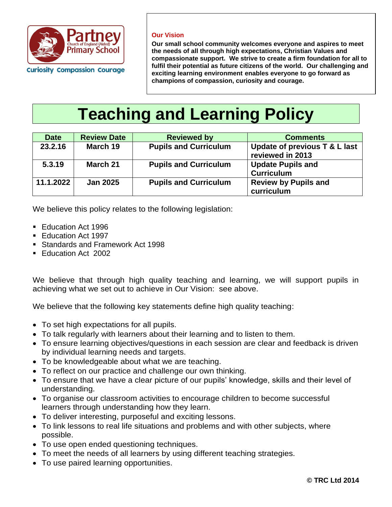

**Our Vision** 

**Our small school community welcomes everyone and aspires to meet the needs of all through high expectations, Christian Values and compassionate support. We strive to create a firm foundation for all to fulfil their potential as future citizens of the world. Our challenging and exciting learning environment enables everyone to go forward as champions of compassion, curiosity and courage.** 

# **Teaching and Learning Policy**

| <b>Date</b> | <b>Review Date</b> | <b>Reviewed by</b>           | <b>Comments</b>                                   |
|-------------|--------------------|------------------------------|---------------------------------------------------|
| 23.2.16     | March 19           | <b>Pupils and Curriculum</b> | Update of previous T & L last<br>reviewed in 2013 |
| 5.3.19      | March 21           | <b>Pupils and Curriculum</b> | <b>Update Pupils and</b><br><b>Curriculum</b>     |
|             |                    |                              |                                                   |
| 11.1.2022   | <b>Jan 2025</b>    | <b>Pupils and Curriculum</b> | <b>Review by Pupils and</b>                       |
|             |                    |                              | curriculum                                        |

We believe this policy relates to the following legislation:

- Education Act 1996
- Education Act 1997
- **EXECUTE: Standards and Framework Act 1998**
- Education Act 2002

We believe that through high quality teaching and learning, we will support pupils in achieving what we set out to achieve in Our Vision: see above.

We believe that the following key statements define high quality teaching:

- To set high expectations for all pupils.
- To talk regularly with learners about their learning and to listen to them.
- To ensure learning objectives/questions in each session are clear and feedback is driven by individual learning needs and targets.
- To be knowledgeable about what we are teaching.
- To reflect on our practice and challenge our own thinking.
- To ensure that we have a clear picture of our pupils' knowledge, skills and their level of understanding.
- To organise our classroom activities to encourage children to become successful learners through understanding how they learn.
- To deliver interesting, purposeful and exciting lessons.
- To link lessons to real life situations and problems and with other subjects, where possible.
- To use open ended questioning techniques.
- To meet the needs of all learners by using different teaching strategies.
- To use paired learning opportunities.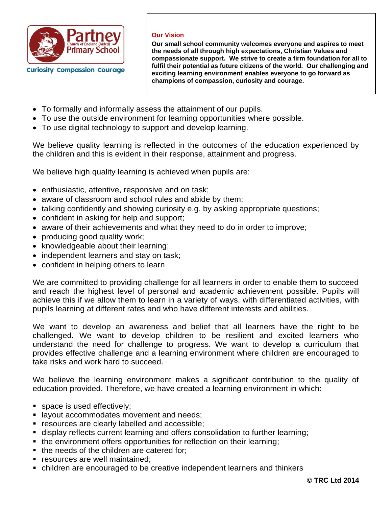

#### **Our Vision**

**Our small school community welcomes everyone and aspires to meet the needs of all through high expectations, Christian Values and compassionate support. We strive to create a firm foundation for all to fulfil their potential as future citizens of the world. Our challenging and exciting learning environment enables everyone to go forward as champions of compassion, curiosity and courage.** 

- To formally and informally assess the attainment of our pupils.
- To use the outside environment for learning opportunities where possible.
- To use digital technology to support and develop learning.

We believe quality learning is reflected in the outcomes of the education experienced by the children and this is evident in their response, attainment and progress.

We believe high quality learning is achieved when pupils are:

- enthusiastic, attentive, responsive and on task;
- aware of classroom and school rules and abide by them;
- talking confidently and showing curiosity e.g. by asking appropriate questions;
- confident in asking for help and support;
- aware of their achievements and what they need to do in order to improve;
- producing good quality work;
- knowledgeable about their learning;
- independent learners and stay on task;
- confident in helping others to learn

We are committed to providing challenge for all learners in order to enable them to succeed and reach the highest level of personal and academic achievement possible. Pupils will achieve this if we allow them to learn in a variety of ways, with differentiated activities, with pupils learning at different rates and who have different interests and abilities.

We want to develop an awareness and belief that all learners have the right to be challenged. We want to develop children to be resilient and excited learners who understand the need for challenge to progress. We want to develop a curriculum that provides effective challenge and a learning environment where children are encouraged to take risks and work hard to succeed.

We believe the learning environment makes a significant contribution to the quality of education provided. Therefore, we have created a learning environment in which:

- space is used effectively;
- **E** layout accommodates movement and needs;
- **EXE** resources are clearly labelled and accessible;
- display reflects current learning and offers consolidation to further learning;
- the environment offers opportunities for reflection on their learning;
- the needs of the children are catered for;
- **EXEC** resources are well maintained:
- children are encouraged to be creative independent learners and thinkers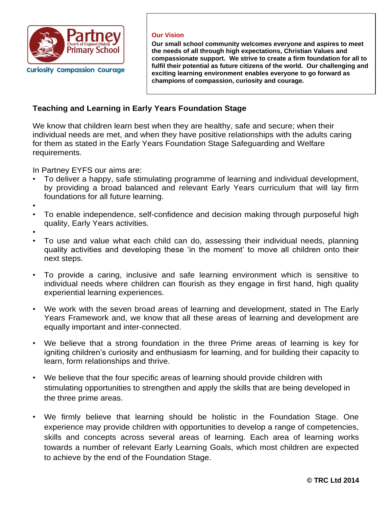

#### **Our Vision**

**Our small school community welcomes everyone and aspires to meet the needs of all through high expectations, Christian Values and compassionate support. We strive to create a firm foundation for all to fulfil their potential as future citizens of the world. Our challenging and exciting learning environment enables everyone to go forward as champions of compassion, curiosity and courage.** 

# **Teaching and Learning in Early Years Foundation Stage**

We know that children learn best when they are healthy, safe and secure; when their individual needs are met, and when they have positive relationships with the adults caring for them as stated in the Early Years Foundation Stage Safeguarding and Welfare requirements.

In Partney EYFS our aims are:

- To deliver a happy, safe stimulating programme of learning and individual development, by providing a broad balanced and relevant Early Years curriculum that will lay firm foundations for all future learning.
- •
- To enable independence, self-confidence and decision making through purposeful high quality, Early Years activities.
- •
- To use and value what each child can do, assessing their individual needs, planning quality activities and developing these 'in the moment' to move all children onto their next steps.
- To provide a caring, inclusive and safe learning environment which is sensitive to individual needs where children can flourish as they engage in first hand, high quality experiential learning experiences.
- We work with the seven broad areas of learning and development, stated in The Early Years Framework and, we know that all these areas of learning and development are equally important and inter-connected.
- We believe that a strong foundation in the three Prime areas of learning is key for igniting children's curiosity and enthusiasm for learning, and for building their capacity to learn, form relationships and thrive.
- We believe that the four specific areas of learning should provide children with stimulating opportunities to strengthen and apply the skills that are being developed in the three prime areas.
- We firmly believe that learning should be holistic in the Foundation Stage. One experience may provide children with opportunities to develop a range of competencies, skills and concepts across several areas of learning. Each area of learning works towards a number of relevant Early Learning Goals, which most children are expected to achieve by the end of the Foundation Stage.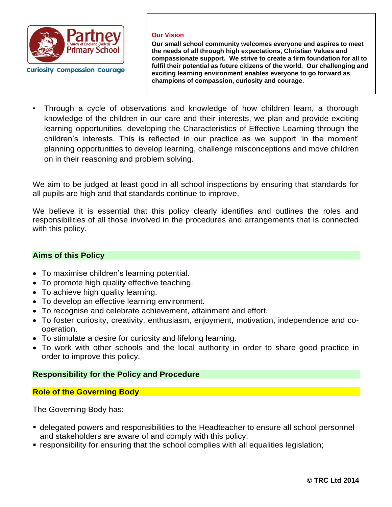

#### **Our Vision**

**Our small school community welcomes everyone and aspires to meet the needs of all through high expectations, Christian Values and compassionate support. We strive to create a firm foundation for all to fulfil their potential as future citizens of the world. Our challenging and exciting learning environment enables everyone to go forward as champions of compassion, curiosity and courage.** 

• Through a cycle of observations and knowledge of how children learn, a thorough knowledge of the children in our care and their interests, we plan and provide exciting learning opportunities, developing the Characteristics of Effective Learning through the children's interests. This is reflected in our practice as we support 'in the moment' planning opportunities to develop learning, challenge misconceptions and move children on in their reasoning and problem solving.

We aim to be judged at least good in all school inspections by ensuring that standards for all pupils are high and that standards continue to improve.

We believe it is essential that this policy clearly identifies and outlines the roles and responsibilities of all those involved in the procedures and arrangements that is connected with this policy.

## **Aims of this Policy**

- To maximise children's learning potential.
- To promote high quality effective teaching.
- To achieve high quality learning.
- To develop an effective learning environment.
- To recognise and celebrate achievement, attainment and effort.
- To foster curiosity, creativity, enthusiasm, enjoyment, motivation, independence and cooperation.
- To stimulate a desire for curiosity and lifelong learning.
- To work with other schools and the local authority in order to share good practice in order to improve this policy.

## **Responsibility for the Policy and Procedure**

## **Role of the Governing Body**

The Governing Body has:

- **delegated powers and responsibilities to the Headteacher to ensure all school personnel** and stakeholders are aware of and comply with this policy;
- responsibility for ensuring that the school complies with all equalities legislation;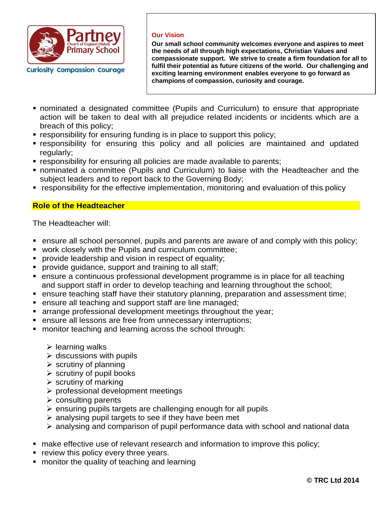

#### **Our Vision**

**Our small school community welcomes everyone and aspires to meet the needs of all through high expectations, Christian Values and compassionate support. We strive to create a firm foundation for all to fulfil their potential as future citizens of the world. Our challenging and exciting learning environment enables everyone to go forward as champions of compassion, curiosity and courage.** 

- nominated a designated committee (Pupils and Curriculum) to ensure that appropriate action will be taken to deal with all prejudice related incidents or incidents which are a breach of this policy;
- responsibility for ensuring funding is in place to support this policy;
- **Example 1** responsibility for ensuring this policy and all policies are maintained and updated regularly;
- responsibility for ensuring all policies are made available to parents;
- nominated a committee (Pupils and Curriculum) to liaise with the Headteacher and the subject leaders and to report back to the Governing Body;
- responsibility for the effective implementation, monitoring and evaluation of this policy

# **Role of the Headteacher**

The Headteacher will:

- ensure all school personnel, pupils and parents are aware of and comply with this policy;
- work closely with the Pupils and curriculum committee;
- **•** provide leadership and vision in respect of equality;
- **•** provide guidance, support and training to all staff;
- ensure a continuous professional development programme is in place for all teaching and support staff in order to develop teaching and learning throughout the school;
- ensure teaching staff have their statutory planning, preparation and assessment time;
- ensure all teaching and support staff are line managed;
- **E** arrange professional development meetings throughout the year;
- **EXECT** ensure all lessons are free from unnecessary interruptions;
- monitor teaching and learning across the school through:
	- $\triangleright$  learning walks
	- $\triangleright$  discussions with pupils
	- $\triangleright$  scrutiny of planning
	- $\triangleright$  scrutiny of pupil books
	- $\triangleright$  scrutiny of marking
	- ➢ professional development meetings
	- $\triangleright$  consulting parents
	- $\triangleright$  ensuring pupils targets are challenging enough for all pupils
	- ➢ analysing pupil targets to see if they have been met
	- ➢ analysing and comparison of pupil performance data with school and national data
- make effective use of relevant research and information to improve this policy;
- **•** review this policy every three years.
- monitor the quality of teaching and learning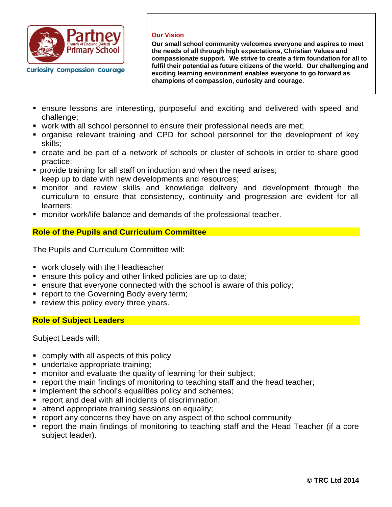

#### **Our Vision**

**Our small school community welcomes everyone and aspires to meet the needs of all through high expectations, Christian Values and compassionate support. We strive to create a firm foundation for all to fulfil their potential as future citizens of the world. Our challenging and exciting learning environment enables everyone to go forward as champions of compassion, curiosity and courage.** 

- ensure lessons are interesting, purposeful and exciting and delivered with speed and challenge;
- work with all school personnel to ensure their professional needs are met;
- organise relevant training and CPD for school personnel for the development of key skills;
- create and be part of a network of schools or cluster of schools in order to share good practice;
- **•** provide training for all staff on induction and when the need arises; keep up to date with new developments and resources;
- monitor and review skills and knowledge delivery and development through the curriculum to ensure that consistency, continuity and progression are evident for all learners;
- monitor work/life balance and demands of the professional teacher.

# **Role of the Pupils and Curriculum Committee**

The Pupils and Curriculum Committee will:

- work closely with the Headteacher
- ensure this policy and other linked policies are up to date;
- ensure that everyone connected with the school is aware of this policy;
- report to the Governing Body every term;
- **•** review this policy every three years.

## **Role of Subject Leaders**

Subject Leads will:

- comply with all aspects of this policy
- undertake appropriate training;
- monitor and evaluate the quality of learning for their subject;
- report the main findings of monitoring to teaching staff and the head teacher;
- **.** implement the school's equalities policy and schemes;
- report and deal with all incidents of discrimination;
- **EXECTE:** attend appropriate training sessions on equality;
- report any concerns they have on any aspect of the school community
- report the main findings of monitoring to teaching staff and the Head Teacher (if a core subject leader).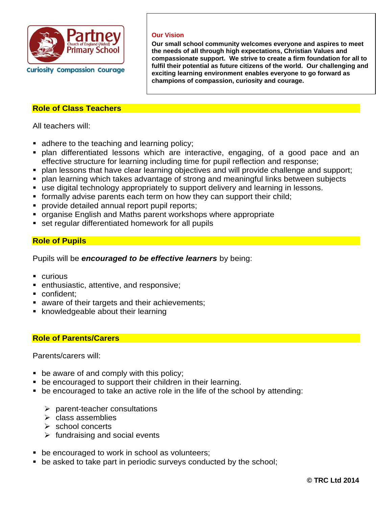

#### **Our Vision**

**Our small school community welcomes everyone and aspires to meet the needs of all through high expectations, Christian Values and compassionate support. We strive to create a firm foundation for all to fulfil their potential as future citizens of the world. Our challenging and exciting learning environment enables everyone to go forward as champions of compassion, curiosity and courage.** 

## **Role of Class Teachers**

All teachers will:

- adhere to the teaching and learning policy;
- **·** plan differentiated lessons which are interactive, engaging, of a good pace and an effective structure for learning including time for pupil reflection and response;
- plan lessons that have clear learning objectives and will provide challenge and support;
- plan learning which takes advantage of strong and meaningful links between subjects
- use digital technology appropriately to support delivery and learning in lessons.
- **•** formally advise parents each term on how they can support their child;
- **•** provide detailed annual report pupil reports;
- **organise English and Maths parent workshops where appropriate**
- **EXECT** set regular differentiated homework for all pupils

# **Role of Pupils**

Pupils will be *encouraged to be effective learners* by being:

- curious
- enthusiastic, attentive, and responsive;
- confident:
- aware of their targets and their achievements;
- knowledgeable about their learning

# **Role of Parents/Carers**

Parents/carers will:

- be aware of and comply with this policy;
- be encouraged to support their children in their learning.
- be encouraged to take an active role in the life of the school by attending:
	- ➢ parent-teacher consultations
	- ➢ class assemblies
	- ➢ school concerts
	- $\triangleright$  fundraising and social events
- be encouraged to work in school as volunteers;
- be asked to take part in periodic surveys conducted by the school;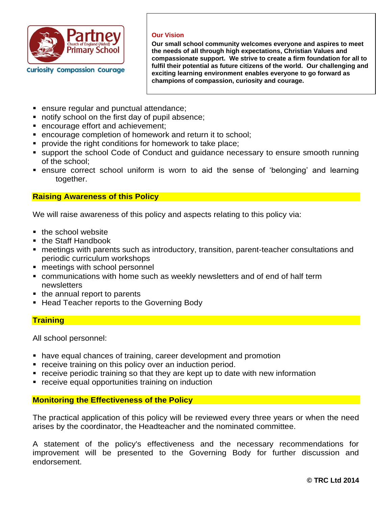

#### **Our Vision**

**Our small school community welcomes everyone and aspires to meet the needs of all through high expectations, Christian Values and compassionate support. We strive to create a firm foundation for all to fulfil their potential as future citizens of the world. Our challenging and exciting learning environment enables everyone to go forward as champions of compassion, curiosity and courage.** 

- ensure regular and punctual attendance;
- notify school on the first day of pupil absence;
- encourage effort and achievement;
- encourage completion of homework and return it to school;
- provide the right conditions for homework to take place;
- support the school Code of Conduct and guidance necessary to ensure smooth running of the school;
- ensure correct school uniform is worn to aid the sense of 'belonging' and learning together.

## **Raising Awareness of this Policy**

We will raise awareness of this policy and aspects relating to this policy via:

- the school website
- the Staff Handbook
- meetings with parents such as introductory, transition, parent-teacher consultations and periodic curriculum workshops
- meetings with school personnel
- communications with home such as weekly newsletters and of end of half term newsletters
- the annual report to parents
- Head Teacher reports to the Governing Body

## **Training**

All school personnel:

- have equal chances of training, career development and promotion
- **•** receive training on this policy over an induction period.
- receive periodic training so that they are kept up to date with new information
- receive equal opportunities training on induction

## **Monitoring the Effectiveness of the Policy**

The practical application of this policy will be reviewed every three years or when the need arises by the coordinator, the Headteacher and the nominated committee.

A statement of the policy's effectiveness and the necessary recommendations for improvement will be presented to the Governing Body for further discussion and endorsement.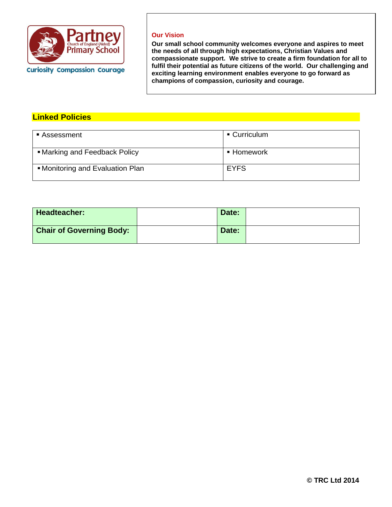

#### **Our Vision**

**Our small school community welcomes everyone and aspires to meet the needs of all through high expectations, Christian Values and compassionate support. We strive to create a firm foundation for all to fulfil their potential as future citizens of the world. Our challenging and exciting learning environment enables everyone to go forward as champions of compassion, curiosity and courage.** 

# **Linked Policies**

| ■ Assessment                     | $\blacksquare$ Curriculum |
|----------------------------------|---------------------------|
| • Marking and Feedback Policy    | $\blacksquare$ Homework   |
| • Monitoring and Evaluation Plan | <b>EYFS</b>               |

| Headteacher:                    | Date: |  |
|---------------------------------|-------|--|
| <b>Chair of Governing Body:</b> | Date: |  |